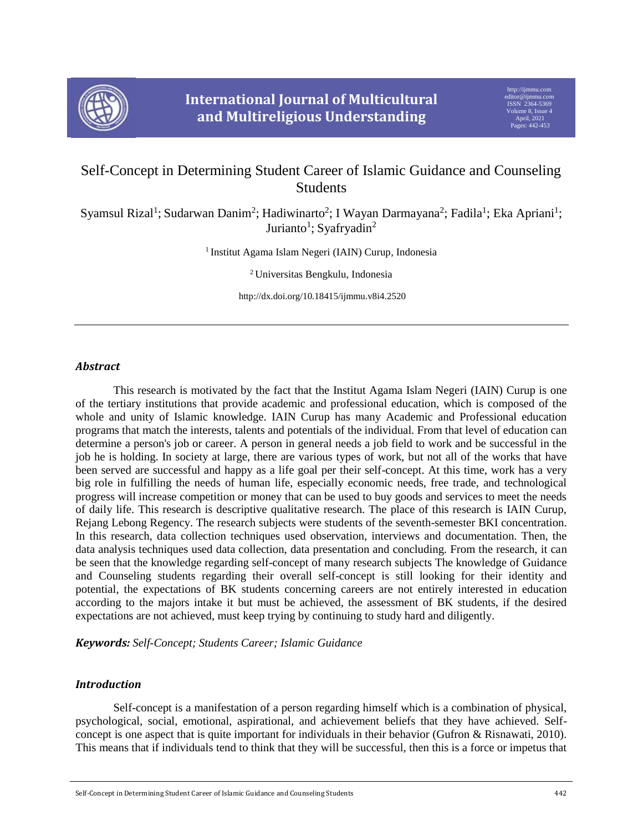

# Self-Concept in Determining Student Career of Islamic Guidance and Counseling Students

Syamsul Rizal<sup>1</sup>; Sudarwan Danim<sup>2</sup>; Hadiwinarto<sup>2</sup>; I Wayan Darmayana<sup>2</sup>; Fadila<sup>1</sup>; Eka Apriani<sup>1</sup>; Jurianto<sup>1</sup>; Syafryadin<sup>2</sup>

<sup>1</sup> Institut Agama Islam Negeri (IAIN) Curup, Indonesia

<sup>2</sup>Universitas Bengkulu, Indonesia

http://dx.doi.org/10.18415/ijmmu.v8i4.2520

# *Abstract*

This research is motivated by the fact that the Institut Agama Islam Negeri (IAIN) Curup is one of the tertiary institutions that provide academic and professional education, which is composed of the whole and unity of Islamic knowledge. IAIN Curup has many Academic and Professional education programs that match the interests, talents and potentials of the individual. From that level of education can determine a person's job or career. A person in general needs a job field to work and be successful in the job he is holding. In society at large, there are various types of work, but not all of the works that have been served are successful and happy as a life goal per their self-concept. At this time, work has a very big role in fulfilling the needs of human life, especially economic needs, free trade, and technological progress will increase competition or money that can be used to buy goods and services to meet the needs of daily life. This research is descriptive qualitative research. The place of this research is IAIN Curup, Rejang Lebong Regency. The research subjects were students of the seventh-semester BKI concentration. In this research, data collection techniques used observation, interviews and documentation. Then, the data analysis techniques used data collection, data presentation and concluding. From the research, it can be seen that the knowledge regarding self-concept of many research subjects The knowledge of Guidance and Counseling students regarding their overall self-concept is still looking for their identity and potential, the expectations of BK students concerning careers are not entirely interested in education according to the majors intake it but must be achieved, the assessment of BK students, if the desired expectations are not achieved, must keep trying by continuing to study hard and diligently.

*Keywords: Self-Concept; Students Career; Islamic Guidance*

# *Introduction*

Self-concept is a manifestation of a person regarding himself which is a combination of physical, psychological, social, emotional, aspirational, and achievement beliefs that they have achieved. Selfconcept is one aspect that is quite important for individuals in their behavior (Gufron & Risnawati, 2010). This means that if individuals tend to think that they will be successful, then this is a force or impetus that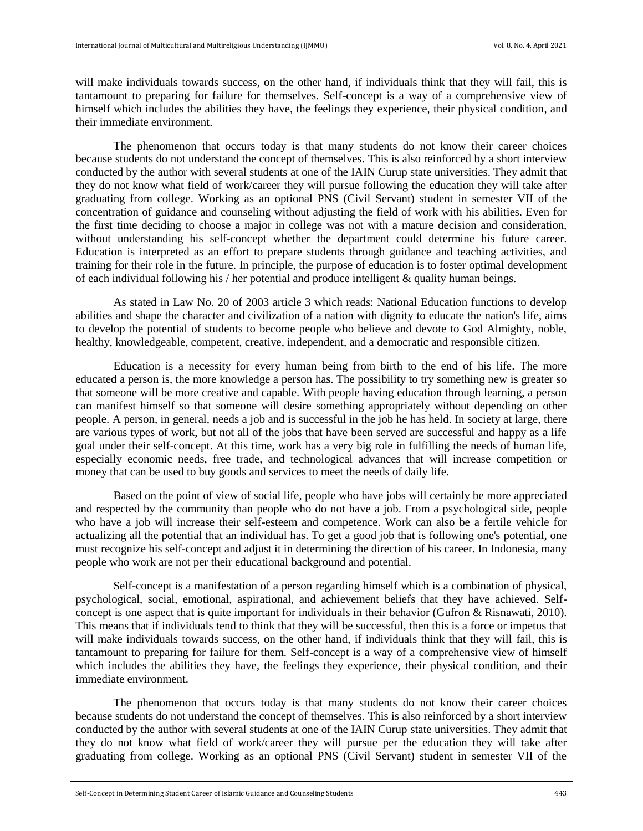will make individuals towards success, on the other hand, if individuals think that they will fail, this is tantamount to preparing for failure for themselves. Self-concept is a way of a comprehensive view of himself which includes the abilities they have, the feelings they experience, their physical condition, and their immediate environment.

The phenomenon that occurs today is that many students do not know their career choices because students do not understand the concept of themselves. This is also reinforced by a short interview conducted by the author with several students at one of the IAIN Curup state universities. They admit that they do not know what field of work/career they will pursue following the education they will take after graduating from college. Working as an optional PNS (Civil Servant) student in semester VII of the concentration of guidance and counseling without adjusting the field of work with his abilities. Even for the first time deciding to choose a major in college was not with a mature decision and consideration, without understanding his self-concept whether the department could determine his future career. Education is interpreted as an effort to prepare students through guidance and teaching activities, and training for their role in the future. In principle, the purpose of education is to foster optimal development of each individual following his / her potential and produce intelligent & quality human beings.

As stated in Law No. 20 of 2003 article 3 which reads: National Education functions to develop abilities and shape the character and civilization of a nation with dignity to educate the nation's life, aims to develop the potential of students to become people who believe and devote to God Almighty, noble, healthy, knowledgeable, competent, creative, independent, and a democratic and responsible citizen.

Education is a necessity for every human being from birth to the end of his life. The more educated a person is, the more knowledge a person has. The possibility to try something new is greater so that someone will be more creative and capable. With people having education through learning, a person can manifest himself so that someone will desire something appropriately without depending on other people. A person, in general, needs a job and is successful in the job he has held. In society at large, there are various types of work, but not all of the jobs that have been served are successful and happy as a life goal under their self-concept. At this time, work has a very big role in fulfilling the needs of human life, especially economic needs, free trade, and technological advances that will increase competition or money that can be used to buy goods and services to meet the needs of daily life.

Based on the point of view of social life, people who have jobs will certainly be more appreciated and respected by the community than people who do not have a job. From a psychological side, people who have a job will increase their self-esteem and competence. Work can also be a fertile vehicle for actualizing all the potential that an individual has. To get a good job that is following one's potential, one must recognize his self-concept and adjust it in determining the direction of his career. In Indonesia, many people who work are not per their educational background and potential.

Self-concept is a manifestation of a person regarding himself which is a combination of physical, psychological, social, emotional, aspirational, and achievement beliefs that they have achieved. Selfconcept is one aspect that is quite important for individuals in their behavior (Gufron & Risnawati, 2010). This means that if individuals tend to think that they will be successful, then this is a force or impetus that will make individuals towards success, on the other hand, if individuals think that they will fail, this is tantamount to preparing for failure for them. Self-concept is a way of a comprehensive view of himself which includes the abilities they have, the feelings they experience, their physical condition, and their immediate environment.

The phenomenon that occurs today is that many students do not know their career choices because students do not understand the concept of themselves. This is also reinforced by a short interview conducted by the author with several students at one of the IAIN Curup state universities. They admit that they do not know what field of work/career they will pursue per the education they will take after graduating from college. Working as an optional PNS (Civil Servant) student in semester VII of the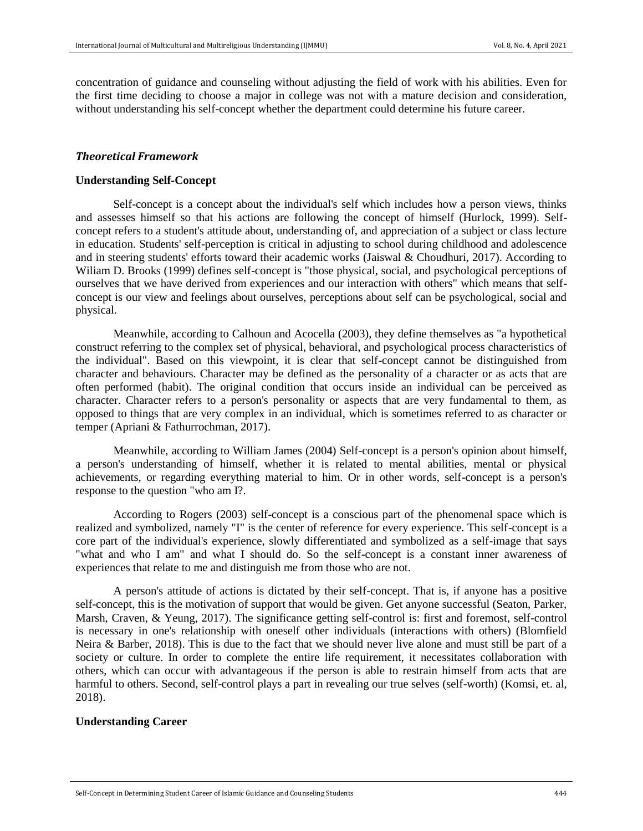concentration of guidance and counseling without adjusting the field of work with his abilities. Even for the first time deciding to choose a major in college was not with a mature decision and consideration, without understanding his self-concept whether the department could determine his future career.

# *Theoretical Framework*

### **Understanding Self-Concept**

Self-concept is a concept about the individual's self which includes how a person views, thinks and assesses himself so that his actions are following the concept of himself (Hurlock, 1999). Selfconcept refers to a student's attitude about, understanding of, and appreciation of a subject or class lecture in education. Students' self-perception is critical in adjusting to school during childhood and adolescence and in steering students' efforts toward their academic works (Jaiswal & Choudhuri, 2017). According to Wiliam D. Brooks (1999) defines self-concept is "those physical, social, and psychological perceptions of ourselves that we have derived from experiences and our interaction with others" which means that selfconcept is our view and feelings about ourselves, perceptions about self can be psychological, social and physical.

Meanwhile, according to Calhoun and Acocella (2003), they define themselves as "a hypothetical construct referring to the complex set of physical, behavioral, and psychological process characteristics of the individual". Based on this viewpoint, it is clear that self-concept cannot be distinguished from character and behaviours. Character may be defined as the personality of a character or as acts that are often performed (habit). The original condition that occurs inside an individual can be perceived as character. Character refers to a person's personality or aspects that are very fundamental to them, as opposed to things that are very complex in an individual, which is sometimes referred to as character or temper (Apriani & Fathurrochman, 2017).

Meanwhile, according to William James (2004) Self-concept is a person's opinion about himself, a person's understanding of himself, whether it is related to mental abilities, mental or physical achievements, or regarding everything material to him. Or in other words, self-concept is a person's response to the question "who am I?.

According to Rogers (2003) self-concept is a conscious part of the phenomenal space which is realized and symbolized, namely "I" is the center of reference for every experience. This self-concept is a core part of the individual's experience, slowly differentiated and symbolized as a self-image that says "what and who I am" and what I should do. So the self-concept is a constant inner awareness of experiences that relate to me and distinguish me from those who are not.

A person's attitude of actions is dictated by their self-concept. That is, if anyone has a positive self-concept, this is the motivation of support that would be given. Get anyone successful (Seaton, Parker, Marsh, Craven, & Yeung, 2017). The significance getting self-control is: first and foremost, self-control is necessary in one's relationship with oneself other individuals (interactions with others) (Blomfield Neira & Barber, 2018). This is due to the fact that we should never live alone and must still be part of a society or culture. In order to complete the entire life requirement, it necessitates collaboration with others, which can occur with advantageous if the person is able to restrain himself from acts that are harmful to others. Second, self-control plays a part in revealing our true selves (self-worth) (Komsi, et. al, 2018).

# **Understanding Career**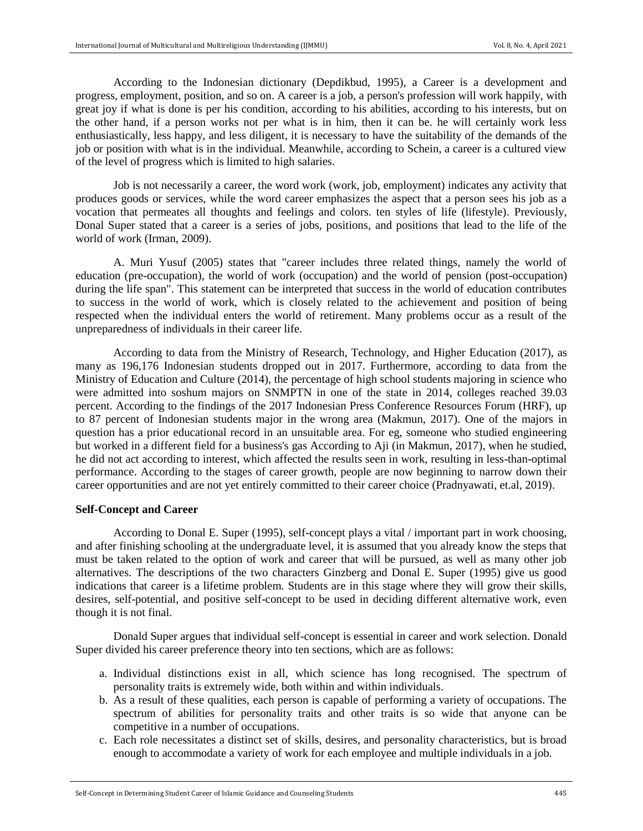According to the Indonesian dictionary (Depdikbud, 1995), a Career is a development and progress, employment, position, and so on. A career is a job, a person's profession will work happily, with great joy if what is done is per his condition, according to his abilities, according to his interests, but on the other hand, if a person works not per what is in him, then it can be. he will certainly work less enthusiastically, less happy, and less diligent, it is necessary to have the suitability of the demands of the job or position with what is in the individual. Meanwhile, according to Schein, a career is a cultured view of the level of progress which is limited to high salaries.

Job is not necessarily a career, the word work (work, job, employment) indicates any activity that produces goods or services, while the word career emphasizes the aspect that a person sees his job as a vocation that permeates all thoughts and feelings and colors. ten styles of life (lifestyle). Previously, Donal Super stated that a career is a series of jobs, positions, and positions that lead to the life of the world of work (Irman, 2009).

A. Muri Yusuf (2005) states that "career includes three related things, namely the world of education (pre-occupation), the world of work (occupation) and the world of pension (post-occupation) during the life span". This statement can be interpreted that success in the world of education contributes to success in the world of work, which is closely related to the achievement and position of being respected when the individual enters the world of retirement. Many problems occur as a result of the unpreparedness of individuals in their career life.

According to data from the Ministry of Research, Technology, and Higher Education (2017), as many as 196,176 Indonesian students dropped out in 2017. Furthermore, according to data from the Ministry of Education and Culture (2014), the percentage of high school students majoring in science who were admitted into soshum majors on SNMPTN in one of the state in 2014, colleges reached 39.03 percent. According to the findings of the 2017 Indonesian Press Conference Resources Forum (HRF), up to 87 percent of Indonesian students major in the wrong area (Makmun, 2017). One of the majors in question has a prior educational record in an unsuitable area. For eg, someone who studied engineering but worked in a different field for a business's gas According to Aji (in Makmun, 2017), when he studied, he did not act according to interest, which affected the results seen in work, resulting in less-than-optimal performance. According to the stages of career growth, people are now beginning to narrow down their career opportunities and are not yet entirely committed to their career choice (Pradnyawati, et.al, 2019).

#### **Self-Concept and Career**

According to Donal E. Super (1995), self-concept plays a vital / important part in work choosing, and after finishing schooling at the undergraduate level, it is assumed that you already know the steps that must be taken related to the option of work and career that will be pursued, as well as many other job alternatives. The descriptions of the two characters Ginzberg and Donal E. Super (1995) give us good indications that career is a lifetime problem. Students are in this stage where they will grow their skills, desires, self-potential, and positive self-concept to be used in deciding different alternative work, even though it is not final.

Donald Super argues that individual self-concept is essential in career and work selection. Donald Super divided his career preference theory into ten sections, which are as follows:

- a. Individual distinctions exist in all, which science has long recognised. The spectrum of personality traits is extremely wide, both within and within individuals.
- b. As a result of these qualities, each person is capable of performing a variety of occupations. The spectrum of abilities for personality traits and other traits is so wide that anyone can be competitive in a number of occupations.
- c. Each role necessitates a distinct set of skills, desires, and personality characteristics, but is broad enough to accommodate a variety of work for each employee and multiple individuals in a job.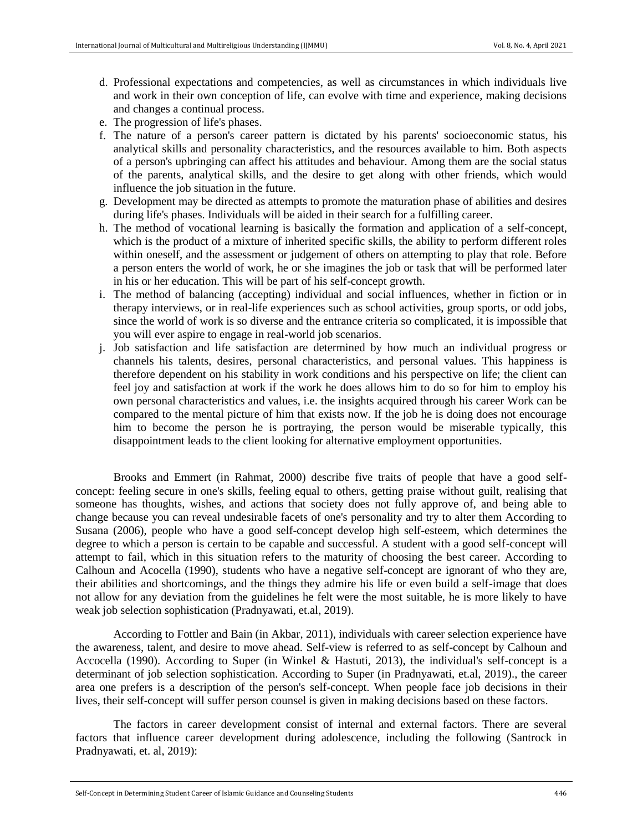- d. Professional expectations and competencies, as well as circumstances in which individuals live and work in their own conception of life, can evolve with time and experience, making decisions and changes a continual process.
- e. The progression of life's phases.
- f. The nature of a person's career pattern is dictated by his parents' socioeconomic status, his analytical skills and personality characteristics, and the resources available to him. Both aspects of a person's upbringing can affect his attitudes and behaviour. Among them are the social status of the parents, analytical skills, and the desire to get along with other friends, which would influence the job situation in the future.
- g. Development may be directed as attempts to promote the maturation phase of abilities and desires during life's phases. Individuals will be aided in their search for a fulfilling career.
- h. The method of vocational learning is basically the formation and application of a self-concept, which is the product of a mixture of inherited specific skills, the ability to perform different roles within oneself, and the assessment or judgement of others on attempting to play that role. Before a person enters the world of work, he or she imagines the job or task that will be performed later in his or her education. This will be part of his self-concept growth.
- i. The method of balancing (accepting) individual and social influences, whether in fiction or in therapy interviews, or in real-life experiences such as school activities, group sports, or odd jobs, since the world of work is so diverse and the entrance criteria so complicated, it is impossible that you will ever aspire to engage in real-world job scenarios.
- j. Job satisfaction and life satisfaction are determined by how much an individual progress or channels his talents, desires, personal characteristics, and personal values. This happiness is therefore dependent on his stability in work conditions and his perspective on life; the client can feel joy and satisfaction at work if the work he does allows him to do so for him to employ his own personal characteristics and values, i.e. the insights acquired through his career Work can be compared to the mental picture of him that exists now. If the job he is doing does not encourage him to become the person he is portraying, the person would be miserable typically, this disappointment leads to the client looking for alternative employment opportunities.

Brooks and Emmert (in Rahmat, 2000) describe five traits of people that have a good selfconcept: feeling secure in one's skills, feeling equal to others, getting praise without guilt, realising that someone has thoughts, wishes, and actions that society does not fully approve of, and being able to change because you can reveal undesirable facets of one's personality and try to alter them According to Susana (2006), people who have a good self-concept develop high self-esteem, which determines the degree to which a person is certain to be capable and successful. A student with a good self-concept will attempt to fail, which in this situation refers to the maturity of choosing the best career. According to Calhoun and Acocella (1990), students who have a negative self-concept are ignorant of who they are, their abilities and shortcomings, and the things they admire his life or even build a self-image that does not allow for any deviation from the guidelines he felt were the most suitable, he is more likely to have weak job selection sophistication (Pradnyawati, et.al, 2019).

According to Fottler and Bain (in Akbar, 2011), individuals with career selection experience have the awareness, talent, and desire to move ahead. Self-view is referred to as self-concept by Calhoun and Accocella (1990). According to Super (in Winkel & Hastuti, 2013), the individual's self-concept is a determinant of job selection sophistication. According to Super (in Pradnyawati, et.al, 2019)., the career area one prefers is a description of the person's self-concept. When people face job decisions in their lives, their self-concept will suffer person counsel is given in making decisions based on these factors.

The factors in career development consist of internal and external factors. There are several factors that influence career development during adolescence, including the following (Santrock in Pradnyawati, et. al, 2019):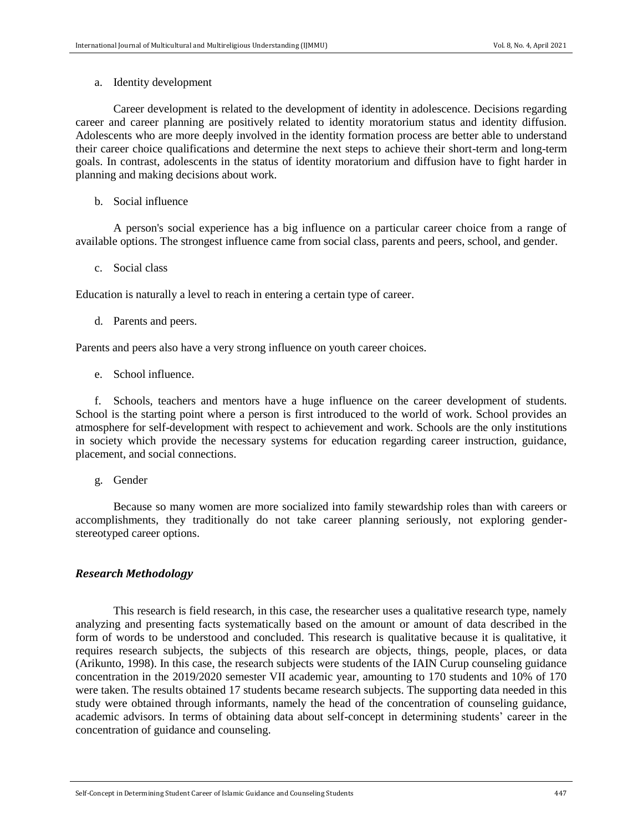a. Identity development

Career development is related to the development of identity in adolescence. Decisions regarding career and career planning are positively related to identity moratorium status and identity diffusion. Adolescents who are more deeply involved in the identity formation process are better able to understand their career choice qualifications and determine the next steps to achieve their short-term and long-term goals. In contrast, adolescents in the status of identity moratorium and diffusion have to fight harder in planning and making decisions about work.

b. Social influence

A person's social experience has a big influence on a particular career choice from a range of available options. The strongest influence came from social class, parents and peers, school, and gender.

c. Social class

Education is naturally a level to reach in entering a certain type of career.

d. Parents and peers.

Parents and peers also have a very strong influence on youth career choices.

e. School influence.

f. Schools, teachers and mentors have a huge influence on the career development of students. School is the starting point where a person is first introduced to the world of work. School provides an atmosphere for self-development with respect to achievement and work. Schools are the only institutions in society which provide the necessary systems for education regarding career instruction, guidance, placement, and social connections.

g. Gender

Because so many women are more socialized into family stewardship roles than with careers or accomplishments, they traditionally do not take career planning seriously, not exploring genderstereotyped career options.

### *Research Methodology*

This research is field research, in this case, the researcher uses a qualitative research type, namely analyzing and presenting facts systematically based on the amount or amount of data described in the form of words to be understood and concluded. This research is qualitative because it is qualitative, it requires research subjects, the subjects of this research are objects, things, people, places, or data (Arikunto, 1998). In this case, the research subjects were students of the IAIN Curup counseling guidance concentration in the 2019/2020 semester VII academic year, amounting to 170 students and 10% of 170 were taken. The results obtained 17 students became research subjects. The supporting data needed in this study were obtained through informants, namely the head of the concentration of counseling guidance, academic advisors. In terms of obtaining data about self-concept in determining students' career in the concentration of guidance and counseling.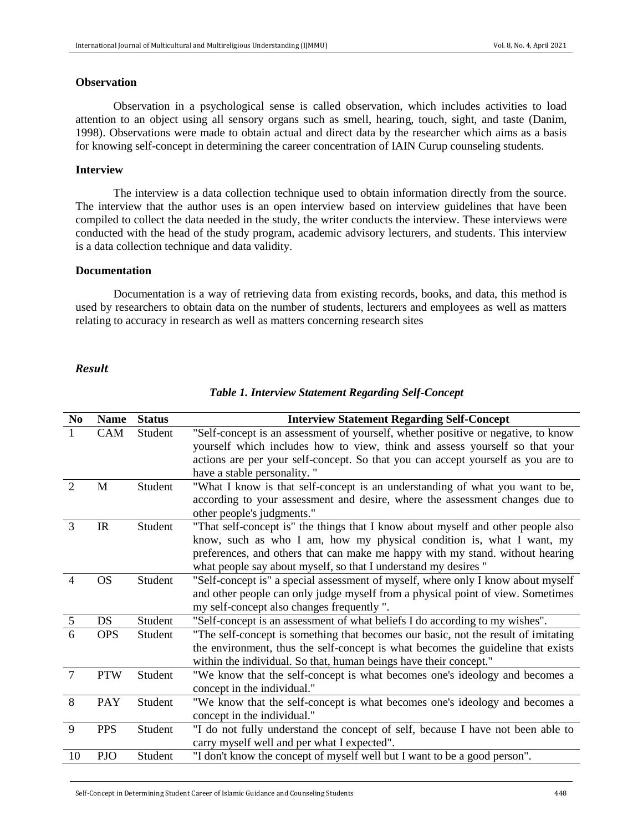#### **Observation**

Observation in a psychological sense is called observation, which includes activities to load attention to an object using all sensory organs such as smell, hearing, touch, sight, and taste (Danim, 1998). Observations were made to obtain actual and direct data by the researcher which aims as a basis for knowing self-concept in determining the career concentration of IAIN Curup counseling students.

#### **Interview**

The interview is a data collection technique used to obtain information directly from the source. The interview that the author uses is an open interview based on interview guidelines that have been compiled to collect the data needed in the study, the writer conducts the interview. These interviews were conducted with the head of the study program, academic advisory lecturers, and students. This interview is a data collection technique and data validity.

# **Documentation**

Documentation is a way of retrieving data from existing records, books, and data, this method is used by researchers to obtain data on the number of students, lecturers and employees as well as matters relating to accuracy in research as well as matters concerning research sites

#### *Result*

| CAM<br>$\mathbf{1}$<br>Student<br>have a stable personality."<br>M<br>Student<br>$\mathcal{D}_{\mathcal{L}}$<br>other people's judgments."<br>3<br>Student<br>IR<br>what people say about myself, so that I understand my desires "<br><b>OS</b><br>Student<br>$\overline{\mathcal{A}}$<br>my self-concept also changes frequently ".<br>$\overline{5}$<br>DS<br>Student<br>"Self-concept is an assessment of what beliefs I do according to my wishes".<br>6<br><b>OPS</b><br>Student<br>within the individual. So that, human beings have their concept."<br><b>PTW</b><br>$7\phantom{.0}$<br>Student<br>concept in the individual." | N <sub>0</sub> | <b>Name</b> | <b>Status</b> | <b>Interview Statement Regarding Self-Concept</b>                                  |
|----------------------------------------------------------------------------------------------------------------------------------------------------------------------------------------------------------------------------------------------------------------------------------------------------------------------------------------------------------------------------------------------------------------------------------------------------------------------------------------------------------------------------------------------------------------------------------------------------------------------------------------|----------------|-------------|---------------|------------------------------------------------------------------------------------|
|                                                                                                                                                                                                                                                                                                                                                                                                                                                                                                                                                                                                                                        |                |             |               | "Self-concept is an assessment of yourself, whether positive or negative, to know  |
|                                                                                                                                                                                                                                                                                                                                                                                                                                                                                                                                                                                                                                        |                |             |               | yourself which includes how to view, think and assess yourself so that your        |
|                                                                                                                                                                                                                                                                                                                                                                                                                                                                                                                                                                                                                                        |                |             |               | actions are per your self-concept. So that you can accept yourself as you are to   |
|                                                                                                                                                                                                                                                                                                                                                                                                                                                                                                                                                                                                                                        |                |             |               |                                                                                    |
|                                                                                                                                                                                                                                                                                                                                                                                                                                                                                                                                                                                                                                        |                |             |               | "What I know is that self-concept is an understanding of what you want to be,      |
|                                                                                                                                                                                                                                                                                                                                                                                                                                                                                                                                                                                                                                        |                |             |               | according to your assessment and desire, where the assessment changes due to       |
|                                                                                                                                                                                                                                                                                                                                                                                                                                                                                                                                                                                                                                        |                |             |               |                                                                                    |
|                                                                                                                                                                                                                                                                                                                                                                                                                                                                                                                                                                                                                                        |                |             |               | "That self-concept is" the things that I know about myself and other people also   |
|                                                                                                                                                                                                                                                                                                                                                                                                                                                                                                                                                                                                                                        |                |             |               | know, such as who I am, how my physical condition is, what I want, my              |
|                                                                                                                                                                                                                                                                                                                                                                                                                                                                                                                                                                                                                                        |                |             |               | preferences, and others that can make me happy with my stand. without hearing      |
|                                                                                                                                                                                                                                                                                                                                                                                                                                                                                                                                                                                                                                        |                |             |               |                                                                                    |
|                                                                                                                                                                                                                                                                                                                                                                                                                                                                                                                                                                                                                                        |                |             |               | "Self-concept is" a special assessment of myself, where only I know about myself   |
|                                                                                                                                                                                                                                                                                                                                                                                                                                                                                                                                                                                                                                        |                |             |               | and other people can only judge myself from a physical point of view. Sometimes    |
|                                                                                                                                                                                                                                                                                                                                                                                                                                                                                                                                                                                                                                        |                |             |               |                                                                                    |
|                                                                                                                                                                                                                                                                                                                                                                                                                                                                                                                                                                                                                                        |                |             |               |                                                                                    |
|                                                                                                                                                                                                                                                                                                                                                                                                                                                                                                                                                                                                                                        |                |             |               | "The self-concept is something that becomes our basic, not the result of imitating |
|                                                                                                                                                                                                                                                                                                                                                                                                                                                                                                                                                                                                                                        |                |             |               | the environment, thus the self-concept is what becomes the guideline that exists   |
|                                                                                                                                                                                                                                                                                                                                                                                                                                                                                                                                                                                                                                        |                |             |               |                                                                                    |
|                                                                                                                                                                                                                                                                                                                                                                                                                                                                                                                                                                                                                                        |                |             |               | "We know that the self-concept is what becomes one's ideology and becomes a        |
|                                                                                                                                                                                                                                                                                                                                                                                                                                                                                                                                                                                                                                        |                |             |               |                                                                                    |
|                                                                                                                                                                                                                                                                                                                                                                                                                                                                                                                                                                                                                                        | 8              | PAY         | Student       | "We know that the self-concept is what becomes one's ideology and becomes a        |
| concept in the individual."                                                                                                                                                                                                                                                                                                                                                                                                                                                                                                                                                                                                            |                |             |               |                                                                                    |
| 9<br><b>PPS</b><br>Student                                                                                                                                                                                                                                                                                                                                                                                                                                                                                                                                                                                                             |                |             |               | "I do not fully understand the concept of self, because I have not been able to    |
| carry myself well and per what I expected".                                                                                                                                                                                                                                                                                                                                                                                                                                                                                                                                                                                            |                |             |               |                                                                                    |
| PJO<br>Student<br>"I don't know the concept of myself well but I want to be a good person".<br>10                                                                                                                                                                                                                                                                                                                                                                                                                                                                                                                                      |                |             |               |                                                                                    |

### *Table 1. Interview Statement Regarding Self-Concept*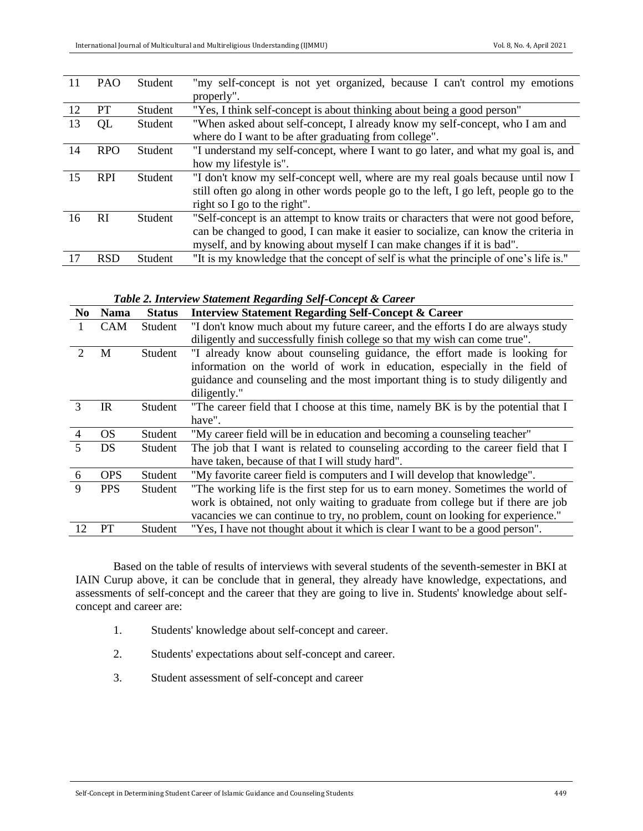| 11 | <b>PAO</b> | Student | "my self-concept is not yet organized, because I can't control my emotions             |
|----|------------|---------|----------------------------------------------------------------------------------------|
|    |            |         | properly".                                                                             |
| 12 | PT         | Student | "Yes, I think self-concept is about thinking about being a good person"                |
| 13 | QL         | Student | "When asked about self-concept, I already know my self-concept, who I am and           |
|    |            |         | where do I want to be after graduating from college".                                  |
| 14 | <b>RPO</b> | Student | "I understand my self-concept, where I want to go later, and what my goal is, and      |
|    |            |         | how my lifestyle is".                                                                  |
| 15 | <b>RPI</b> | Student | "I don't know my self-concept well, where are my real goals because until now I        |
|    |            |         | still often go along in other words people go to the left, I go left, people go to the |
|    |            |         | right so I go to the right".                                                           |
| 16 | RI         | Student | "Self-concept is an attempt to know traits or characters that were not good before,    |
|    |            |         | can be changed to good, I can make it easier to socialize, can know the criteria in    |
|    |            |         | myself, and by knowing about myself I can make changes if it is bad".                  |
| 17 | <b>RSD</b> | Student | "It is my knowledge that the concept of self is what the principle of one's life is."  |

*Table 2. Interview Statement Regarding Self-Concept & Career*

| No.            | <b>Nama</b> | <b>Status</b> | <b>Interview Statement Regarding Self-Concept &amp; Career</b>                     |
|----------------|-------------|---------------|------------------------------------------------------------------------------------|
|                | <b>CAM</b>  | Student       | "I don't know much about my future career, and the efforts I do are always study   |
|                |             |               | diligently and successfully finish college so that my wish can come true".         |
|                | M           | Student       | "I already know about counseling guidance, the effort made is looking for          |
|                |             |               | information on the world of work in education, especially in the field of          |
|                |             |               | guidance and counseling and the most important thing is to study diligently and    |
|                |             |               | diligently."                                                                       |
| 3              | $_{\rm IR}$ | Student       | "The career field that I choose at this time, namely BK is by the potential that I |
|                |             |               | have".                                                                             |
| $\overline{4}$ | <b>OS</b>   | Student       | "My career field will be in education and becoming a counseling teacher"           |
| 5              | DS          | Student       | The job that I want is related to counseling according to the career field that I  |
|                |             |               | have taken, because of that I will study hard".                                    |
| 6              | <b>OPS</b>  | Student       | "My favorite career field is computers and I will develop that knowledge".         |
| $\mathbf{Q}$   | <b>PPS</b>  | Student       | "The working life is the first step for us to earn money. Sometimes the world of   |
|                |             |               | work is obtained, not only waiting to graduate from college but if there are job   |
|                |             |               | vacancies we can continue to try, no problem, count on looking for experience."    |
| 12             | <b>PT</b>   | Student       | "Yes, I have not thought about it which is clear I want to be a good person".      |

Based on the table of results of interviews with several students of the seventh-semester in BKI at IAIN Curup above, it can be conclude that in general, they already have knowledge, expectations, and assessments of self-concept and the career that they are going to live in. Students' knowledge about selfconcept and career are:

- 1. Students' knowledge about self-concept and career.
- 2. Students' expectations about self-concept and career.
- 3. Student assessment of self-concept and career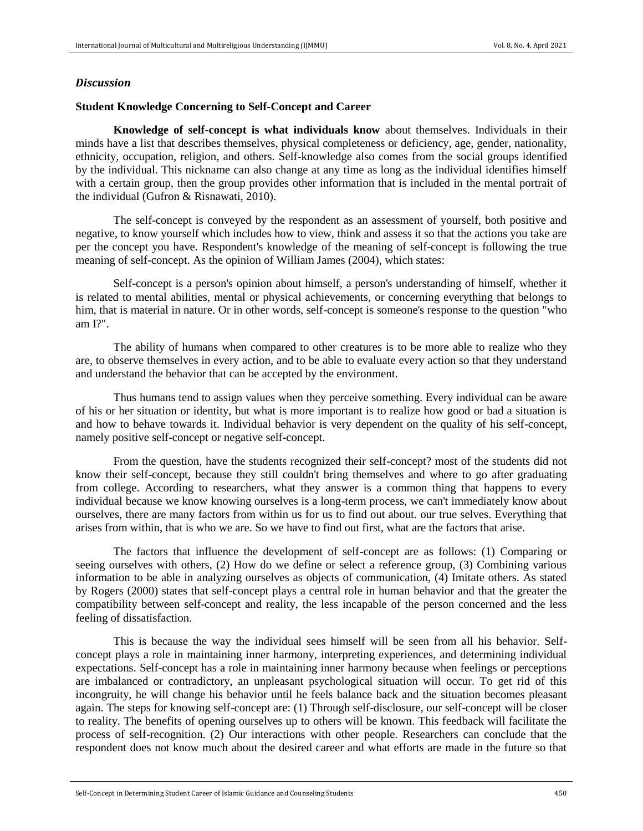### *Discussion*

### **Student Knowledge Concerning to Self-Concept and Career**

**Knowledge of self-concept is what individuals know** about themselves. Individuals in their minds have a list that describes themselves, physical completeness or deficiency, age, gender, nationality, ethnicity, occupation, religion, and others. Self-knowledge also comes from the social groups identified by the individual. This nickname can also change at any time as long as the individual identifies himself with a certain group, then the group provides other information that is included in the mental portrait of the individual (Gufron & Risnawati, 2010).

The self-concept is conveyed by the respondent as an assessment of yourself, both positive and negative, to know yourself which includes how to view, think and assess it so that the actions you take are per the concept you have. Respondent's knowledge of the meaning of self-concept is following the true meaning of self-concept. As the opinion of William James (2004), which states:

Self-concept is a person's opinion about himself, a person's understanding of himself, whether it is related to mental abilities, mental or physical achievements, or concerning everything that belongs to him, that is material in nature. Or in other words, self-concept is someone's response to the question "who am I?".

The ability of humans when compared to other creatures is to be more able to realize who they are, to observe themselves in every action, and to be able to evaluate every action so that they understand and understand the behavior that can be accepted by the environment.

Thus humans tend to assign values when they perceive something. Every individual can be aware of his or her situation or identity, but what is more important is to realize how good or bad a situation is and how to behave towards it. Individual behavior is very dependent on the quality of his self-concept, namely positive self-concept or negative self-concept.

From the question, have the students recognized their self-concept? most of the students did not know their self-concept, because they still couldn't bring themselves and where to go after graduating from college. According to researchers, what they answer is a common thing that happens to every individual because we know knowing ourselves is a long-term process, we can't immediately know about ourselves, there are many factors from within us for us to find out about. our true selves. Everything that arises from within, that is who we are. So we have to find out first, what are the factors that arise.

The factors that influence the development of self-concept are as follows: (1) Comparing or seeing ourselves with others, (2) How do we define or select a reference group, (3) Combining various information to be able in analyzing ourselves as objects of communication, (4) Imitate others. As stated by Rogers (2000) states that self-concept plays a central role in human behavior and that the greater the compatibility between self-concept and reality, the less incapable of the person concerned and the less feeling of dissatisfaction.

This is because the way the individual sees himself will be seen from all his behavior. Selfconcept plays a role in maintaining inner harmony, interpreting experiences, and determining individual expectations. Self-concept has a role in maintaining inner harmony because when feelings or perceptions are imbalanced or contradictory, an unpleasant psychological situation will occur. To get rid of this incongruity, he will change his behavior until he feels balance back and the situation becomes pleasant again. The steps for knowing self-concept are: (1) Through self-disclosure, our self-concept will be closer to reality. The benefits of opening ourselves up to others will be known. This feedback will facilitate the process of self-recognition. (2) Our interactions with other people. Researchers can conclude that the respondent does not know much about the desired career and what efforts are made in the future so that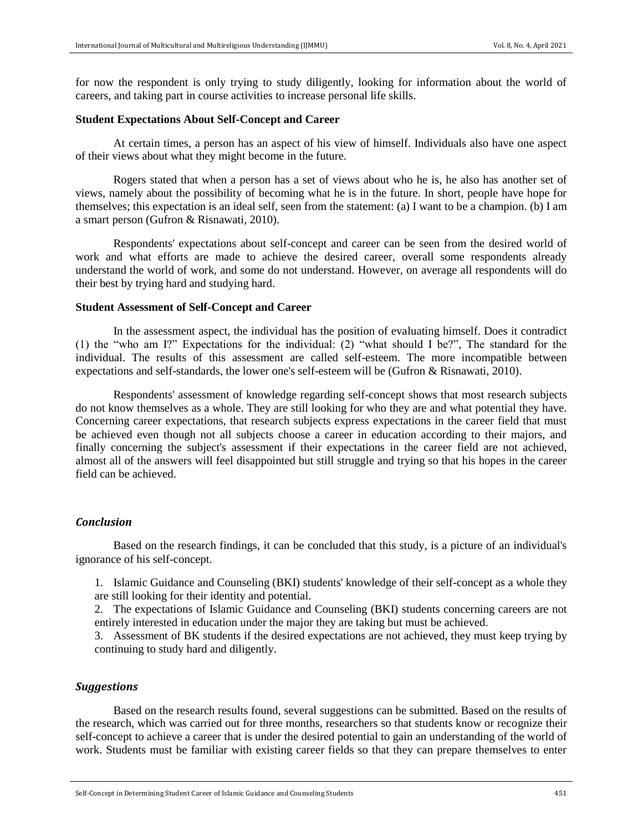for now the respondent is only trying to study diligently, looking for information about the world of careers, and taking part in course activities to increase personal life skills.

#### **Student Expectations About Self-Concept and Career**

At certain times, a person has an aspect of his view of himself. Individuals also have one aspect of their views about what they might become in the future.

Rogers stated that when a person has a set of views about who he is, he also has another set of views, namely about the possibility of becoming what he is in the future. In short, people have hope for themselves; this expectation is an ideal self, seen from the statement: (a) I want to be a champion. (b) I am a smart person (Gufron & Risnawati, 2010).

Respondents' expectations about self-concept and career can be seen from the desired world of work and what efforts are made to achieve the desired career, overall some respondents already understand the world of work, and some do not understand. However, on average all respondents will do their best by trying hard and studying hard.

#### **Student Assessment of Self-Concept and Career**

In the assessment aspect, the individual has the position of evaluating himself. Does it contradict (1) the "who am I?" Expectations for the individual: (2) "what should I be?", The standard for the individual. The results of this assessment are called self-esteem. The more incompatible between expectations and self-standards, the lower one's self-esteem will be (Gufron & Risnawati, 2010).

Respondents' assessment of knowledge regarding self-concept shows that most research subjects do not know themselves as a whole. They are still looking for who they are and what potential they have. Concerning career expectations, that research subjects express expectations in the career field that must be achieved even though not all subjects choose a career in education according to their majors, and finally concerning the subject's assessment if their expectations in the career field are not achieved, almost all of the answers will feel disappointed but still struggle and trying so that his hopes in the career field can be achieved.

# *Conclusion*

Based on the research findings, it can be concluded that this study, is a picture of an individual's ignorance of his self-concept.

1. Islamic Guidance and Counseling (BKI) students' knowledge of their self-concept as a whole they are still looking for their identity and potential.

2. The expectations of Islamic Guidance and Counseling (BKI) students concerning careers are not entirely interested in education under the major they are taking but must be achieved.

3. Assessment of BK students if the desired expectations are not achieved, they must keep trying by continuing to study hard and diligently.

# *Suggestions*

Based on the research results found, several suggestions can be submitted. Based on the results of the research, which was carried out for three months, researchers so that students know or recognize their self-concept to achieve a career that is under the desired potential to gain an understanding of the world of work. Students must be familiar with existing career fields so that they can prepare themselves to enter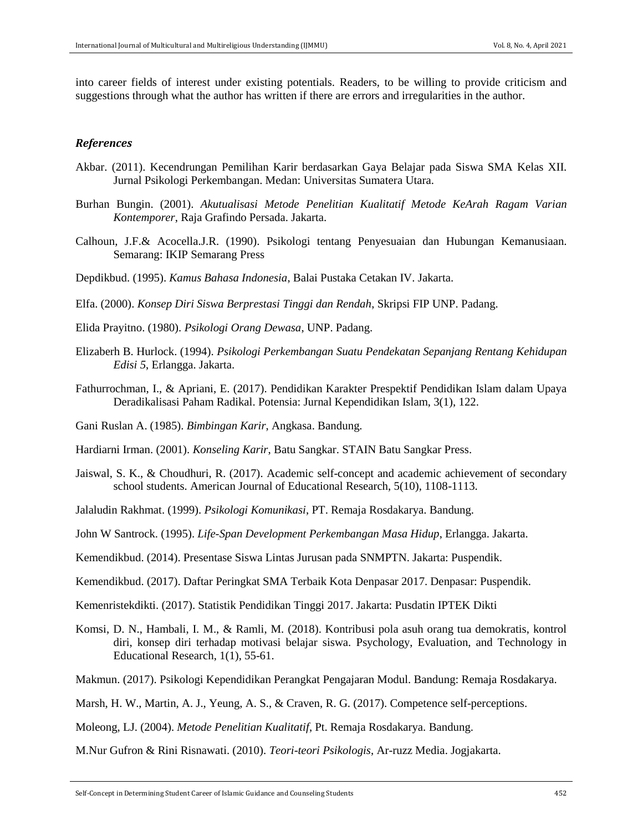into career fields of interest under existing potentials. Readers, to be willing to provide criticism and suggestions through what the author has written if there are errors and irregularities in the author.

### *References*

- Akbar. (2011). Kecendrungan Pemilihan Karir berdasarkan Gaya Belajar pada Siswa SMA Kelas XII. Jurnal Psikologi Perkembangan. Medan: Universitas Sumatera Utara.
- Burhan Bungin. (2001). *Akutualisasi Metode Penelitian Kualitatif Metode KeArah Ragam Varian Kontemporer*, Raja Grafindo Persada. Jakarta.
- Calhoun, J.F.& Acocella.J.R. (1990). Psikologi tentang Penyesuaian dan Hubungan Kemanusiaan. Semarang: IKIP Semarang Press
- Depdikbud. (1995). *Kamus Bahasa Indonesia*, Balai Pustaka Cetakan IV. Jakarta.

Elfa. (2000). *Konsep Diri Siswa Berprestasi Tinggi dan Rendah*, Skripsi FIP UNP. Padang.

- Elida Prayitno. (1980). *Psikologi Orang Dewasa*, UNP. Padang.
- Elizaberh B. Hurlock. (1994). *Psikologi Perkembangan Suatu Pendekatan Sepanjang Rentang Kehidupan Edisi 5*, Erlangga. Jakarta.
- Fathurrochman, I., & Apriani, E. (2017). Pendidikan Karakter Prespektif Pendidikan Islam dalam Upaya Deradikalisasi Paham Radikal. Potensia: Jurnal Kependidikan Islam, 3(1), 122.
- Gani Ruslan A. (1985). *Bimbingan Karir*, Angkasa. Bandung.
- Hardiarni Irman. (2001). *Konseling Karir*, Batu Sangkar. STAIN Batu Sangkar Press.
- Jaiswal, S. K., & Choudhuri, R. (2017). Academic self-concept and academic achievement of secondary school students. American Journal of Educational Research, 5(10), 1108-1113.
- Jalaludin Rakhmat. (1999). *Psikologi Komunikasi*, PT. Remaja Rosdakarya. Bandung.
- John W Santrock. (1995). *Life-Span Development Perkembangan Masa Hidup*, Erlangga. Jakarta.
- Kemendikbud. (2014). Presentase Siswa Lintas Jurusan pada SNMPTN. Jakarta: Puspendik.
- Kemendikbud. (2017). Daftar Peringkat SMA Terbaik Kota Denpasar 2017. Denpasar: Puspendik.
- Kemenristekdikti. (2017). Statistik Pendidikan Tinggi 2017. Jakarta: Pusdatin IPTEK Dikti
- Komsi, D. N., Hambali, I. M., & Ramli, M. (2018). Kontribusi pola asuh orang tua demokratis, kontrol diri, konsep diri terhadap motivasi belajar siswa. Psychology, Evaluation, and Technology in Educational Research, 1(1), 55-61.
- Makmun. (2017). Psikologi Kependidikan Perangkat Pengajaran Modul. Bandung: Remaja Rosdakarya.
- Marsh, H. W., Martin, A. J., Yeung, A. S., & Craven, R. G. (2017). Competence self-perceptions.
- Moleong, LJ. (2004). *Metode Penelitian Kualitatif*, Pt. Remaja Rosdakarya. Bandung.
- M.Nur Gufron & Rini Risnawati. (2010). *Teori-teori Psikologis*, Ar-ruzz Media. Jogjakarta.